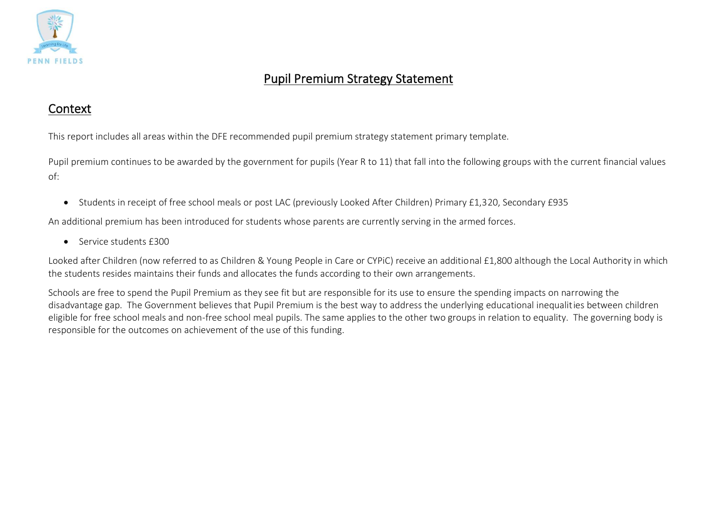

## Pupil Premium Strategy Statement

### Context

This report includes all areas within the DFE recommended pupil premium strategy statement primary template.

Pupil premium continues to be awarded by the government for pupils (Year R to 11) that fall into the following groups with the current financial values of:

• Students in receipt of free school meals or post LAC (previously Looked After Children) Primary £1,320, Secondary £935

An additional premium has been introduced for students whose parents are currently serving in the armed forces.

• Service students £300

Looked after Children (now referred to as Children & Young People in Care or CYPiC) receive an additional £1,800 although the Local Authority in which the students resides maintains their funds and allocates the funds according to their own arrangements.

Schools are free to spend the Pupil Premium as they see fit but are responsible for its use to ensure the spending impacts on narrowing the disadvantage gap. The Government believes that Pupil Premium is the best way to address the underlying educational inequalities between children eligible for free school meals and non-free school meal pupils. The same applies to the other two groups in relation to equality. The governing body is responsible for the outcomes on achievement of the use of this funding.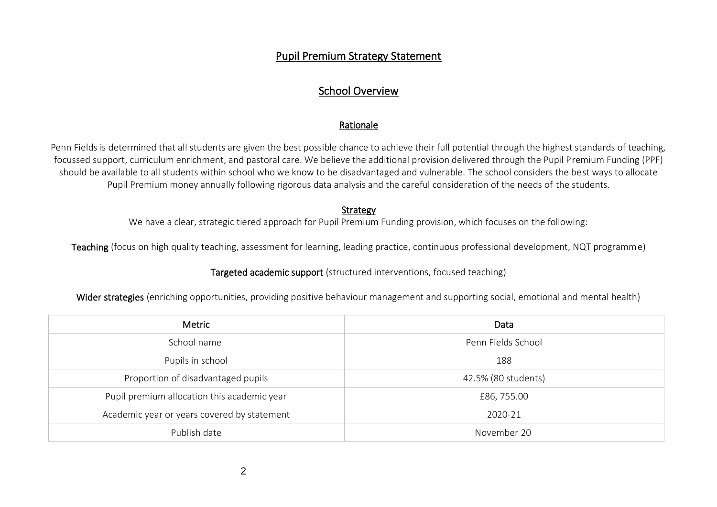#### Pupil Premium Strategy Statement

### School Overview

#### Rationale

Penn Fields is determined that all students are given the best possible chance to achieve their full potential through the highest standards of teaching, focussed support, curriculum enrichment, and pastoral care. We believe the additional provision delivered through the Pupil Premium Funding (PPF) should be available to all students within school who we know to be disadvantaged and vulnerable. The school considers the best ways to allocate Pupil Premium money annually following rigorous data analysis and the careful consideration of the needs of the students.

#### Strategy

We have a clear, strategic tiered approach for Pupil Premium Funding provision, which focuses on the following:

Teaching (focus on high quality teaching, assessment for learning, leading practice, continuous professional development, NQT programme)

#### Targeted academic support (structured interventions, focused teaching)

Wider strategies (enriching opportunities, providing positive behaviour management and supporting social, emotional and mental health)

| Metric                                      | Data                |
|---------------------------------------------|---------------------|
| School name                                 | Penn Fields School  |
| Pupils in school                            | 188                 |
| Proportion of disadvantaged pupils          | 42.5% (80 students) |
| Pupil premium allocation this academic year | £86, 755.00         |
| Academic year or years covered by statement | 2020-21             |
| Publish date                                | November 20         |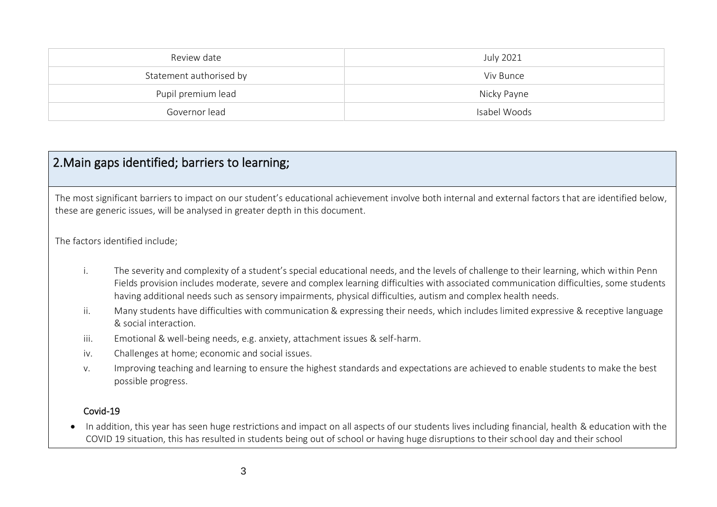| Review date             | July 2021    |
|-------------------------|--------------|
| Statement authorised by | Viv Bunce    |
| Pupil premium lead      | Nicky Payne  |
| Governor lead           | Isabel Woods |

### 2.Main gaps identified; barriers to learning;

The most significant barriers to impact on our student's educational achievement involve both internal and external factors that are identified below, these are generic issues, will be analysed in greater depth in this document.

The factors identified include;

- i. The severity and complexity of a student's special educational needs, and the levels of challenge to their learning, which within Penn Fields provision includes moderate, severe and complex learning difficulties with associated communication difficulties, some students having additional needs such as sensory impairments, physical difficulties, autism and complex health needs.
- ii. Many students have difficulties with communication & expressing their needs, which includes limited expressive & receptive language & social interaction.
- iii. Emotional & well-being needs, e.g. anxiety, attachment issues & self-harm.
- iv. Challenges at home; economic and social issues.
- v. Improving teaching and learning to ensure the highest standards and expectations are achieved to enable students to make the best possible progress.

#### Covid-19

• In addition, this year has seen huge restrictions and impact on all aspects of our students lives including financial, health & education with the COVID 19 situation, this has resulted in students being out of school or having huge disruptions to their school day and their school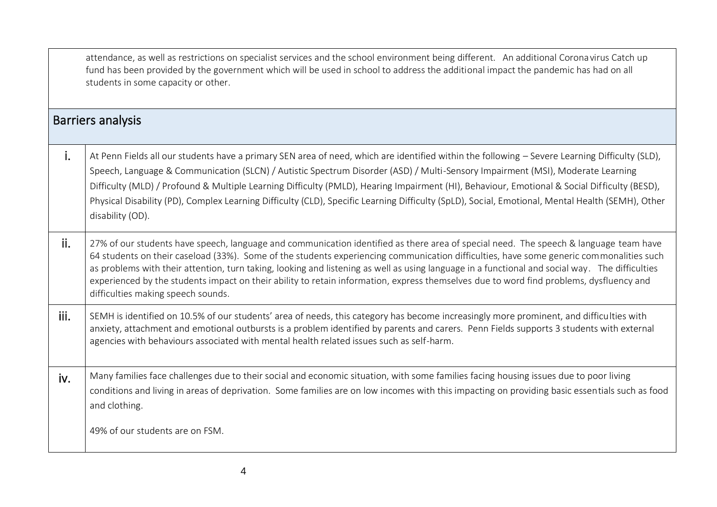|      | attendance, as well as restrictions on specialist services and the school environment being different. An additional Corona virus Catch up<br>fund has been provided by the government which will be used in school to address the additional impact the pandemic has had on all<br>students in some capacity or other.                                                                                                                                                                                                                                                                                              |
|------|----------------------------------------------------------------------------------------------------------------------------------------------------------------------------------------------------------------------------------------------------------------------------------------------------------------------------------------------------------------------------------------------------------------------------------------------------------------------------------------------------------------------------------------------------------------------------------------------------------------------|
|      | <b>Barriers analysis</b>                                                                                                                                                                                                                                                                                                                                                                                                                                                                                                                                                                                             |
| i.   | At Penn Fields all our students have a primary SEN area of need, which are identified within the following - Severe Learning Difficulty (SLD),<br>Speech, Language & Communication (SLCN) / Autistic Spectrum Disorder (ASD) / Multi-Sensory Impairment (MSI), Moderate Learning<br>Difficulty (MLD) / Profound & Multiple Learning Difficulty (PMLD), Hearing Impairment (HI), Behaviour, Emotional & Social Difficulty (BESD),<br>Physical Disability (PD), Complex Learning Difficulty (CLD), Specific Learning Difficulty (SpLD), Social, Emotional, Mental Health (SEMH), Other<br>disability (OD).             |
| ii.  | 27% of our students have speech, language and communication identified as there area of special need. The speech & language team have<br>64 students on their caseload (33%). Some of the students experiencing communication difficulties, have some generic commonalities such<br>as problems with their attention, turn taking, looking and listening as well as using language in a functional and social way. The difficulties<br>experienced by the students impact on their ability to retain information, express themselves due to word find problems, dysfluency and<br>difficulties making speech sounds. |
| iii. | SEMH is identified on 10.5% of our students' area of needs, this category has become increasingly more prominent, and difficulties with<br>anxiety, attachment and emotional outbursts is a problem identified by parents and carers. Penn Fields supports 3 students with external<br>agencies with behaviours associated with mental health related issues such as self-harm.                                                                                                                                                                                                                                      |
| iv.  | Many families face challenges due to their social and economic situation, with some families facing housing issues due to poor living<br>conditions and living in areas of deprivation. Some families are on low incomes with this impacting on providing basic essentials such as food<br>and clothing.                                                                                                                                                                                                                                                                                                             |
|      | 49% of our students are on FSM.                                                                                                                                                                                                                                                                                                                                                                                                                                                                                                                                                                                      |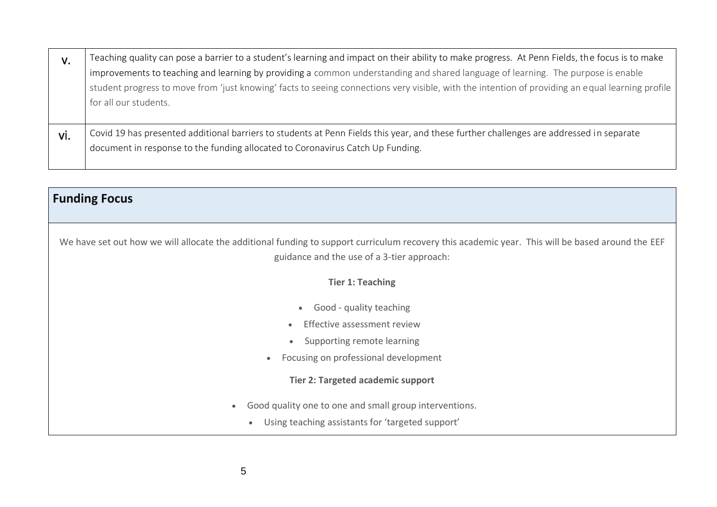| V.  | Teaching quality can pose a barrier to a student's learning and impact on their ability to make progress. At Penn Fields, the focus is to make                                                                                                                                                                |
|-----|---------------------------------------------------------------------------------------------------------------------------------------------------------------------------------------------------------------------------------------------------------------------------------------------------------------|
|     | improvements to teaching and learning by providing a common understanding and shared language of learning. The purpose is enable<br>student progress to move from 'just knowing' facts to seeing connections very visible, with the intention of providing an equal learning profile<br>for all our students. |
| vi. | Covid 19 has presented additional barriers to students at Penn Fields this year, and these further challenges are addressed in separate<br>document in response to the funding allocated to Coronavirus Catch Up Funding.                                                                                     |

| <b>Funding Focus</b>                                                                                                                             |
|--------------------------------------------------------------------------------------------------------------------------------------------------|
|                                                                                                                                                  |
| We have set out how we will allocate the additional funding to support curriculum recovery this academic year. This will be based around the EEF |
| guidance and the use of a 3-tier approach:                                                                                                       |
| <b>Tier 1: Teaching</b>                                                                                                                          |
| Good - quality teaching                                                                                                                          |
| Effective assessment review                                                                                                                      |
| Supporting remote learning                                                                                                                       |
| Focusing on professional development<br>$\bullet$                                                                                                |
| <b>Tier 2: Targeted academic support</b>                                                                                                         |
| Good quality one to one and small group interventions.<br>$\bullet$                                                                              |
| Using teaching assistants for 'targeted support'                                                                                                 |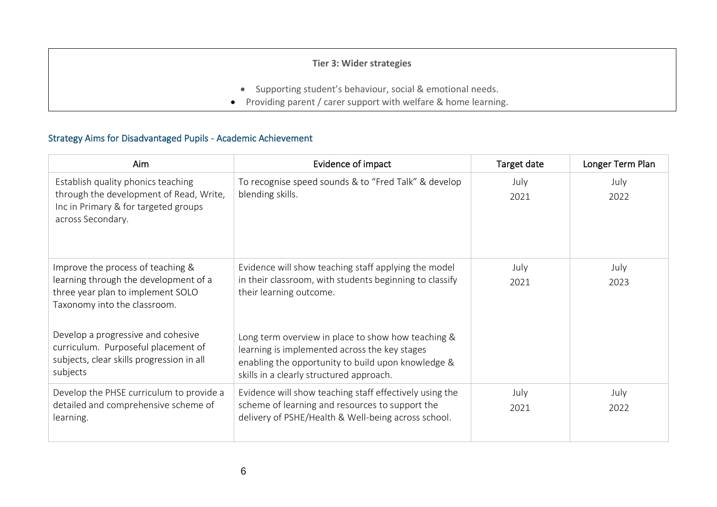#### **Tier 3: Wider strategies**

- Supporting student's behaviour, social & emotional needs.
- Providing parent / carer support with welfare & home learning.

#### Strategy Aims for Disadvantaged Pupils - Academic Achievement

| Aim                                                                                                                                             | Evidence of impact                                                                                                                                                                                    | Target date  | Longer Term Plan |
|-------------------------------------------------------------------------------------------------------------------------------------------------|-------------------------------------------------------------------------------------------------------------------------------------------------------------------------------------------------------|--------------|------------------|
| Establish quality phonics teaching<br>through the development of Read, Write,<br>Inc in Primary & for targeted groups<br>across Secondary.      | To recognise speed sounds & to "Fred Talk" & develop<br>blending skills.                                                                                                                              | July<br>2021 | July<br>2022     |
| Improve the process of teaching &<br>learning through the development of a<br>three year plan to implement SOLO<br>Taxonomy into the classroom. | Evidence will show teaching staff applying the model<br>in their classroom, with students beginning to classify<br>their learning outcome.                                                            | July<br>2021 | July<br>2023     |
| Develop a progressive and cohesive<br>curriculum. Purposeful placement of<br>subjects, clear skills progression in all<br>subjects              | Long term overview in place to show how teaching &<br>learning is implemented across the key stages<br>enabling the opportunity to build upon knowledge &<br>skills in a clearly structured approach. |              |                  |
| Develop the PHSE curriculum to provide a<br>detailed and comprehensive scheme of<br>learning.                                                   | Evidence will show teaching staff effectively using the<br>scheme of learning and resources to support the<br>delivery of PSHE/Health & Well-being across school.                                     | July<br>2021 | July<br>2022     |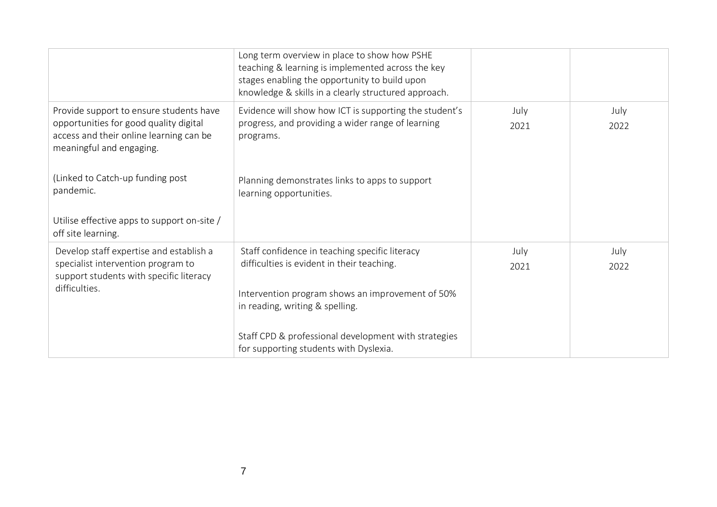|                                                                                                                                                          | Long term overview in place to show how PSHE<br>teaching & learning is implemented across the key<br>stages enabling the opportunity to build upon<br>knowledge & skills in a clearly structured approach. |              |              |
|----------------------------------------------------------------------------------------------------------------------------------------------------------|------------------------------------------------------------------------------------------------------------------------------------------------------------------------------------------------------------|--------------|--------------|
| Provide support to ensure students have<br>opportunities for good quality digital<br>access and their online learning can be<br>meaningful and engaging. | Evidence will show how ICT is supporting the student's<br>progress, and providing a wider range of learning<br>programs.                                                                                   | July<br>2021 | July<br>2022 |
| (Linked to Catch-up funding post<br>pandemic.                                                                                                            | Planning demonstrates links to apps to support<br>learning opportunities.                                                                                                                                  |              |              |
| Utilise effective apps to support on-site /<br>off site learning.                                                                                        |                                                                                                                                                                                                            |              |              |
| Develop staff expertise and establish a                                                                                                                  | Staff confidence in teaching specific literacy                                                                                                                                                             | July         | July         |
| specialist intervention program to<br>support students with specific literacy                                                                            | difficulties is evident in their teaching.                                                                                                                                                                 | 2021         | 2022         |
| difficulties.                                                                                                                                            | Intervention program shows an improvement of 50%                                                                                                                                                           |              |              |
|                                                                                                                                                          | in reading, writing & spelling.                                                                                                                                                                            |              |              |
|                                                                                                                                                          | Staff CPD & professional development with strategies<br>for supporting students with Dyslexia.                                                                                                             |              |              |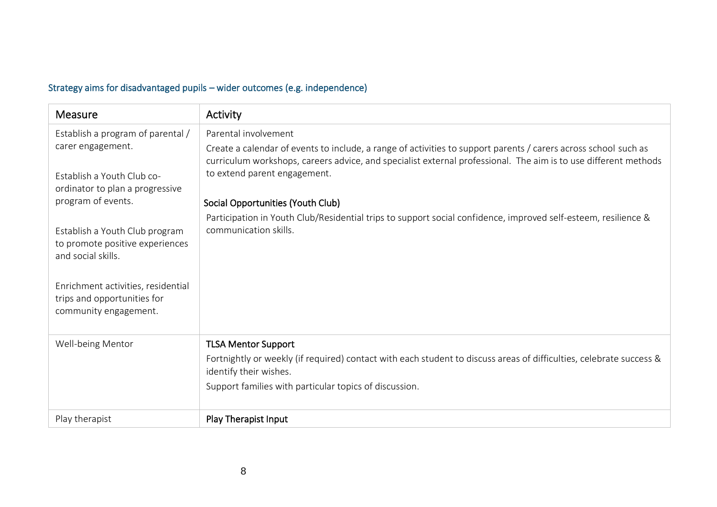## Strategy aims for disadvantaged pupils – wider outcomes (e.g. independence)

| <b>Measure</b>                                                                             | Activity                                                                                                                                                                                                                                                           |
|--------------------------------------------------------------------------------------------|--------------------------------------------------------------------------------------------------------------------------------------------------------------------------------------------------------------------------------------------------------------------|
| Establish a program of parental /                                                          | Parental involvement                                                                                                                                                                                                                                               |
| carer engagement.<br>Establish a Youth Club co-                                            | Create a calendar of events to include, a range of activities to support parents / carers across school such as<br>curriculum workshops, careers advice, and specialist external professional. The aim is to use different methods<br>to extend parent engagement. |
| ordinator to plan a progressive                                                            |                                                                                                                                                                                                                                                                    |
| program of events.                                                                         | Social Opportunities (Youth Club)                                                                                                                                                                                                                                  |
| Establish a Youth Club program<br>to promote positive experiences<br>and social skills.    | Participation in Youth Club/Residential trips to support social confidence, improved self-esteem, resilience &<br>communication skills.                                                                                                                            |
| Enrichment activities, residential<br>trips and opportunities for<br>community engagement. |                                                                                                                                                                                                                                                                    |
| Well-being Mentor                                                                          | <b>TLSA Mentor Support</b>                                                                                                                                                                                                                                         |
|                                                                                            | Fortnightly or weekly (if required) contact with each student to discuss areas of difficulties, celebrate success &<br>identify their wishes.                                                                                                                      |
|                                                                                            | Support families with particular topics of discussion.                                                                                                                                                                                                             |
| Play therapist                                                                             | Play Therapist Input                                                                                                                                                                                                                                               |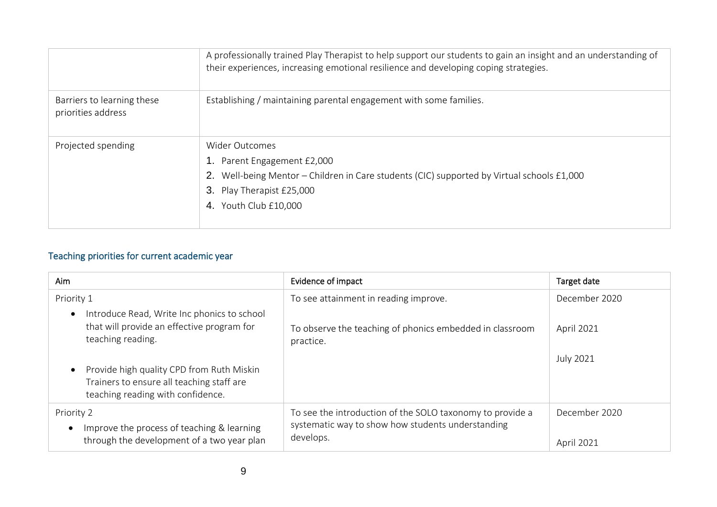|                                                  | A professionally trained Play Therapist to help support our students to gain an insight and an understanding of<br>their experiences, increasing emotional resilience and developing coping strategies.        |
|--------------------------------------------------|----------------------------------------------------------------------------------------------------------------------------------------------------------------------------------------------------------------|
| Barriers to learning these<br>priorities address | Establishing / maintaining parental engagement with some families.                                                                                                                                             |
| Projected spending                               | <b>Wider Outcomes</b><br>Parent Engagement £2,000<br>Well-being Mentor – Children in Care students (CIC) supported by Virtual schools £1,000<br>2.<br>3.<br>Play Therapist £25,000<br>Youth Club £10,000<br>4. |

## Teaching priorities for current academic year

| Aim                                                                                                                         | Evidence of impact                                                                                                          | Target date                        |
|-----------------------------------------------------------------------------------------------------------------------------|-----------------------------------------------------------------------------------------------------------------------------|------------------------------------|
| Priority 1                                                                                                                  | To see attainment in reading improve.                                                                                       | December 2020                      |
| Introduce Read, Write Inc phonics to school<br>$\bullet$<br>that will provide an effective program for<br>teaching reading. | To observe the teaching of phonics embedded in classroom<br>practice.                                                       | <b>April 2021</b>                  |
| Provide high quality CPD from Ruth Miskin<br>Trainers to ensure all teaching staff are<br>teaching reading with confidence. |                                                                                                                             | July 2021                          |
| Priority 2<br>Improve the process of teaching & learning<br>$\bullet$<br>through the development of a two year plan         | To see the introduction of the SOLO taxonomy to provide a<br>systematic way to show how students understanding<br>develops. | December 2020<br><b>April 2021</b> |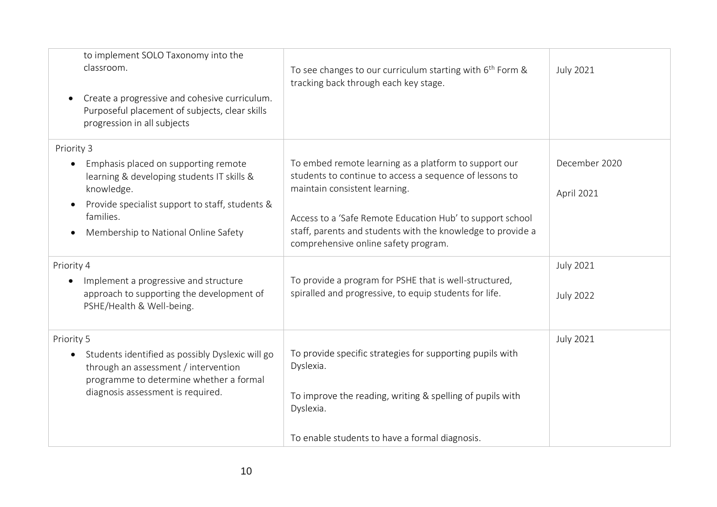| to implement SOLO Taxonomy into the<br>classroom.<br>$\bullet$<br>progression in all subjects                                                  | Create a progressive and cohesive curriculum.<br>Purposeful placement of subjects, clear skills | To see changes to our curriculum starting with 6 <sup>th</sup> Form &<br>tracking back through each key stage.                                                                                                                                                                                                        | <b>July 2021</b>            |
|------------------------------------------------------------------------------------------------------------------------------------------------|-------------------------------------------------------------------------------------------------|-----------------------------------------------------------------------------------------------------------------------------------------------------------------------------------------------------------------------------------------------------------------------------------------------------------------------|-----------------------------|
| Priority 3                                                                                                                                     |                                                                                                 |                                                                                                                                                                                                                                                                                                                       |                             |
| Emphasis placed on supporting remote<br>$\bullet$<br>knowledge.<br>$\bullet$<br>families.<br>Membership to National Online Safety<br>$\bullet$ | learning & developing students IT skills &<br>Provide specialist support to staff, students &   | To embed remote learning as a platform to support our<br>students to continue to access a sequence of lessons to<br>maintain consistent learning.<br>Access to a 'Safe Remote Education Hub' to support school<br>staff, parents and students with the knowledge to provide a<br>comprehensive online safety program. | December 2020<br>April 2021 |
| Priority 4                                                                                                                                     |                                                                                                 |                                                                                                                                                                                                                                                                                                                       | <b>July 2021</b>            |
| Implement a progressive and structure<br>$\bullet$<br>PSHE/Health & Well-being.                                                                | approach to supporting the development of                                                       | To provide a program for PSHE that is well-structured,<br>spiralled and progressive, to equip students for life.                                                                                                                                                                                                      | <b>July 2022</b>            |
| Priority 5<br>$\bullet$<br>through an assessment / intervention<br>diagnosis assessment is required.                                           | Students identified as possibly Dyslexic will go<br>programme to determine whether a formal     | To provide specific strategies for supporting pupils with<br>Dyslexia.<br>To improve the reading, writing & spelling of pupils with<br>Dyslexia.                                                                                                                                                                      | <b>July 2021</b>            |
|                                                                                                                                                |                                                                                                 | To enable students to have a formal diagnosis.                                                                                                                                                                                                                                                                        |                             |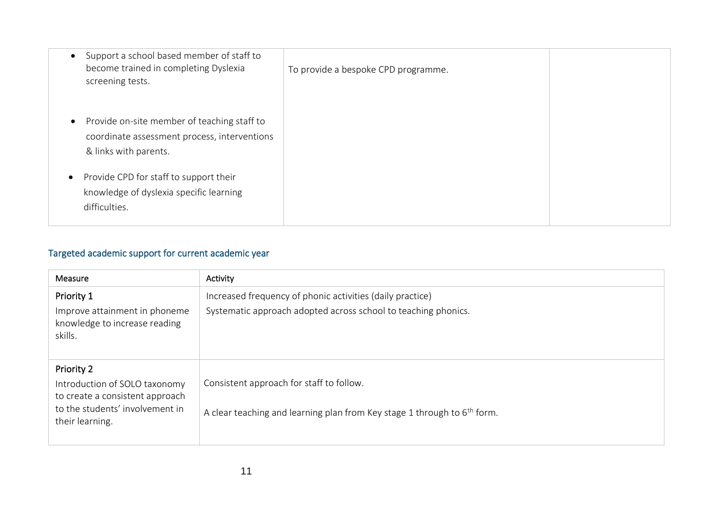| Support a school based member of staff to<br>become trained in completing Dyslexia<br>screening tests.               | To provide a bespoke CPD programme. |  |
|----------------------------------------------------------------------------------------------------------------------|-------------------------------------|--|
| Provide on-site member of teaching staff to<br>coordinate assessment process, interventions<br>& links with parents. |                                     |  |
| Provide CPD for staff to support their<br>$\bullet$<br>knowledge of dyslexia specific learning<br>difficulties.      |                                     |  |

## Targeted academic support for current academic year

| Measure                                                                                                                              | Activity                                                                                                                    |
|--------------------------------------------------------------------------------------------------------------------------------------|-----------------------------------------------------------------------------------------------------------------------------|
| Priority 1<br>Improve attainment in phoneme<br>knowledge to increase reading<br>skills.                                              | Increased frequency of phonic activities (daily practice)<br>Systematic approach adopted across school to teaching phonics. |
| Priority 2<br>Introduction of SOLO taxonomy<br>to create a consistent approach<br>to the students' involvement in<br>their learning. | Consistent approach for staff to follow.<br>A clear teaching and learning plan from Key stage 1 through to $6th$ form.      |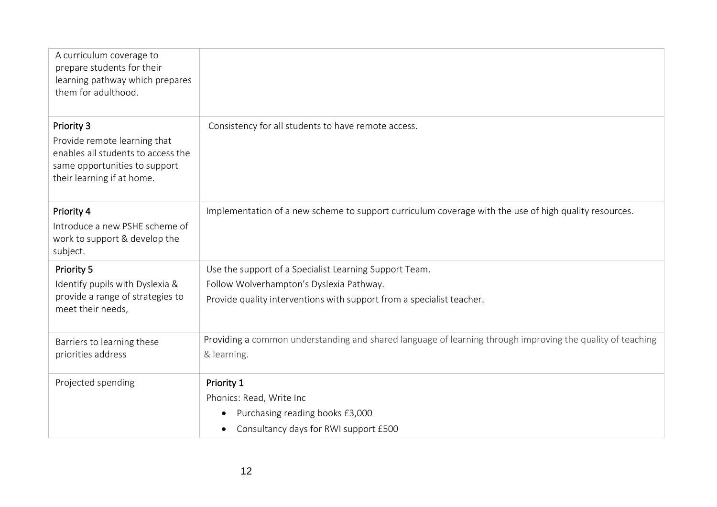| A curriculum coverage to<br>prepare students for their<br>learning pathway which prepares<br>them for adulthood.                                |                                                                                                            |
|-------------------------------------------------------------------------------------------------------------------------------------------------|------------------------------------------------------------------------------------------------------------|
| Priority 3<br>Provide remote learning that<br>enables all students to access the<br>same opportunities to support<br>their learning if at home. | Consistency for all students to have remote access.                                                        |
| Priority 4<br>Introduce a new PSHE scheme of<br>work to support & develop the<br>subject.                                                       | Implementation of a new scheme to support curriculum coverage with the use of high quality resources.      |
| Priority 5                                                                                                                                      | Use the support of a Specialist Learning Support Team.                                                     |
| Identify pupils with Dyslexia &                                                                                                                 | Follow Wolverhampton's Dyslexia Pathway.                                                                   |
| provide a range of strategies to<br>meet their needs,                                                                                           | Provide quality interventions with support from a specialist teacher.                                      |
| Barriers to learning these                                                                                                                      | Providing a common understanding and shared language of learning through improving the quality of teaching |
| priorities address                                                                                                                              | & learning.                                                                                                |
| Projected spending                                                                                                                              | Priority 1                                                                                                 |
|                                                                                                                                                 | Phonics: Read, Write Inc                                                                                   |
|                                                                                                                                                 | Purchasing reading books £3,000<br>$\bullet$                                                               |
|                                                                                                                                                 | Consultancy days for RWI support £500<br>$\bullet$                                                         |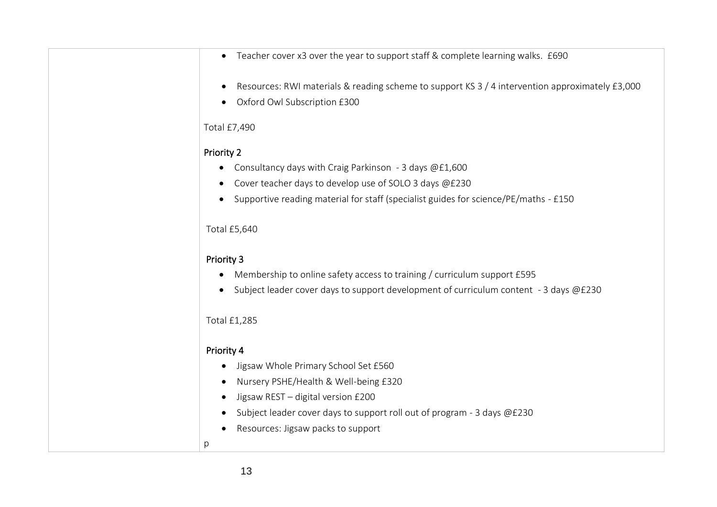| Teacher cover x3 over the year to support staff & complete learning walks. £690<br>$\bullet$                                    |
|---------------------------------------------------------------------------------------------------------------------------------|
| Resources: RWI materials & reading scheme to support KS 3 / 4 intervention approximately £3,000<br>Oxford Owl Subscription £300 |
| Total £7,490                                                                                                                    |
| <b>Priority 2</b>                                                                                                               |
| Consultancy days with Craig Parkinson - 3 days @£1,600                                                                          |
| Cover teacher days to develop use of SOLO 3 days @£230                                                                          |
| Supportive reading material for staff (specialist guides for science/PE/maths - £150                                            |
| <b>Total £5,640</b>                                                                                                             |
| <b>Priority 3</b>                                                                                                               |
| Membership to online safety access to training / curriculum support £595                                                        |
| Subject leader cover days to support development of curriculum content - 3 days @£230                                           |
| <b>Total £1,285</b>                                                                                                             |
| Priority 4                                                                                                                      |
| Jigsaw Whole Primary School Set £560                                                                                            |
| Nursery PSHE/Health & Well-being £320                                                                                           |
| Jigsaw REST - digital version £200                                                                                              |
| Subject leader cover days to support roll out of program - 3 days @£230                                                         |
| Resources: Jigsaw packs to support                                                                                              |
| р                                                                                                                               |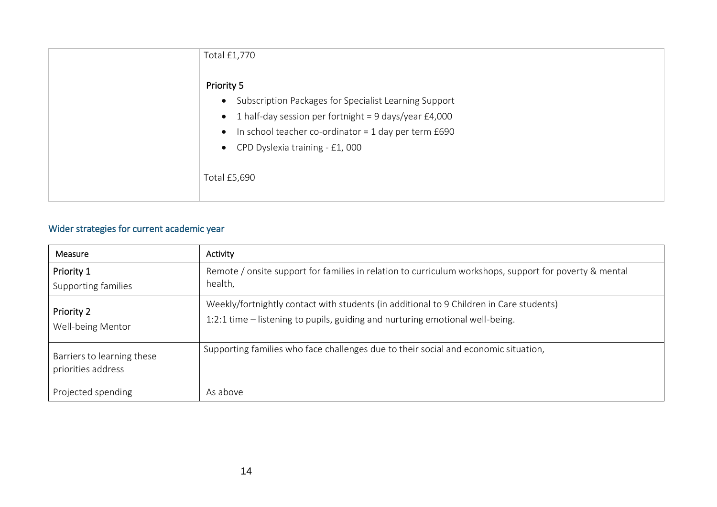| Total £1,770                                                                                                                                                                                                                                                |
|-------------------------------------------------------------------------------------------------------------------------------------------------------------------------------------------------------------------------------------------------------------|
| Priority 5<br>• Subscription Packages for Specialist Learning Support<br>• 1 half-day session per fortnight = 9 days/year $£4,000$<br>In school teacher co-ordinator = 1 day per term £690<br>$\bullet$<br>• CPD Dyslexia training - £1,000<br>Total £5,690 |

### Wider strategies for current academic year

| Measure                                                                                                                                 | Activity                                                                                                                                                                 |  |
|-----------------------------------------------------------------------------------------------------------------------------------------|--------------------------------------------------------------------------------------------------------------------------------------------------------------------------|--|
| Priority 1<br>Supporting families                                                                                                       | Remote / onsite support for families in relation to curriculum workshops, support for poverty & mental<br>health,                                                        |  |
| Priority 2<br>Well-being Mentor                                                                                                         | Weekly/fortnightly contact with students (in additional to 9 Children in Care students)<br>1:2:1 time - listening to pupils, guiding and nurturing emotional well-being. |  |
| Supporting families who face challenges due to their social and economic situation,<br>Barriers to learning these<br>priorities address |                                                                                                                                                                          |  |
| Projected spending                                                                                                                      | As above                                                                                                                                                                 |  |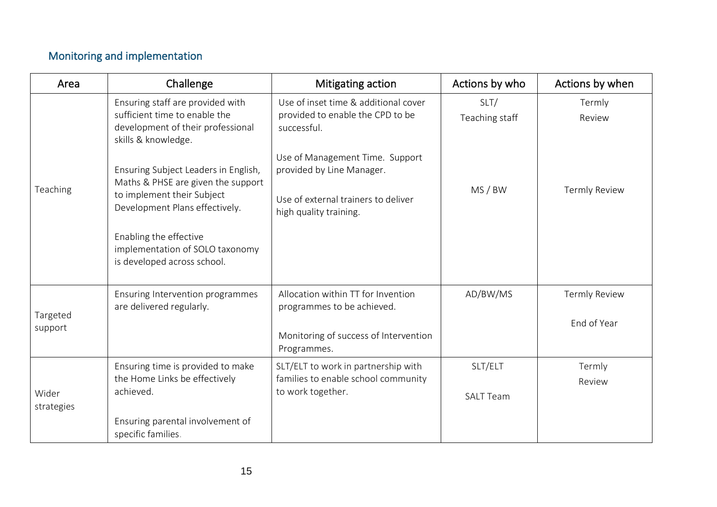# Monitoring and implementation

| Area                | Challenge                                                                                                                                  | Mitigating action                                                                                                             | Actions by who              | Actions by when      |
|---------------------|--------------------------------------------------------------------------------------------------------------------------------------------|-------------------------------------------------------------------------------------------------------------------------------|-----------------------------|----------------------|
|                     | Ensuring staff are provided with<br>sufficient time to enable the<br>development of their professional<br>skills & knowledge.              | Use of inset time & additional cover<br>provided to enable the CPD to be<br>successful.                                       | SLT/<br>Teaching staff      | Termly<br>Review     |
| Teaching            | Ensuring Subject Leaders in English,<br>Maths & PHSE are given the support<br>to implement their Subject<br>Development Plans effectively. | Use of Management Time. Support<br>provided by Line Manager.<br>Use of external trainers to deliver<br>high quality training. | MS/BW                       | <b>Termly Review</b> |
|                     | Enabling the effective<br>implementation of SOLO taxonomy<br>is developed across school.                                                   |                                                                                                                               |                             |                      |
| Targeted<br>support | Ensuring Intervention programmes<br>are delivered regularly.                                                                               | Allocation within TT for Invention<br>programmes to be achieved.                                                              | AD/BW/MS                    | <b>Termly Review</b> |
|                     |                                                                                                                                            | Monitoring of success of Intervention<br>Programmes.                                                                          |                             | End of Year          |
| Wider<br>strategies | Ensuring time is provided to make<br>the Home Links be effectively<br>achieved.                                                            | SLT/ELT to work in partnership with<br>families to enable school community<br>to work together.                               | SLT/ELT<br><b>SALT Team</b> | Termly<br>Review     |
|                     | Ensuring parental involvement of<br>specific families.                                                                                     |                                                                                                                               |                             |                      |